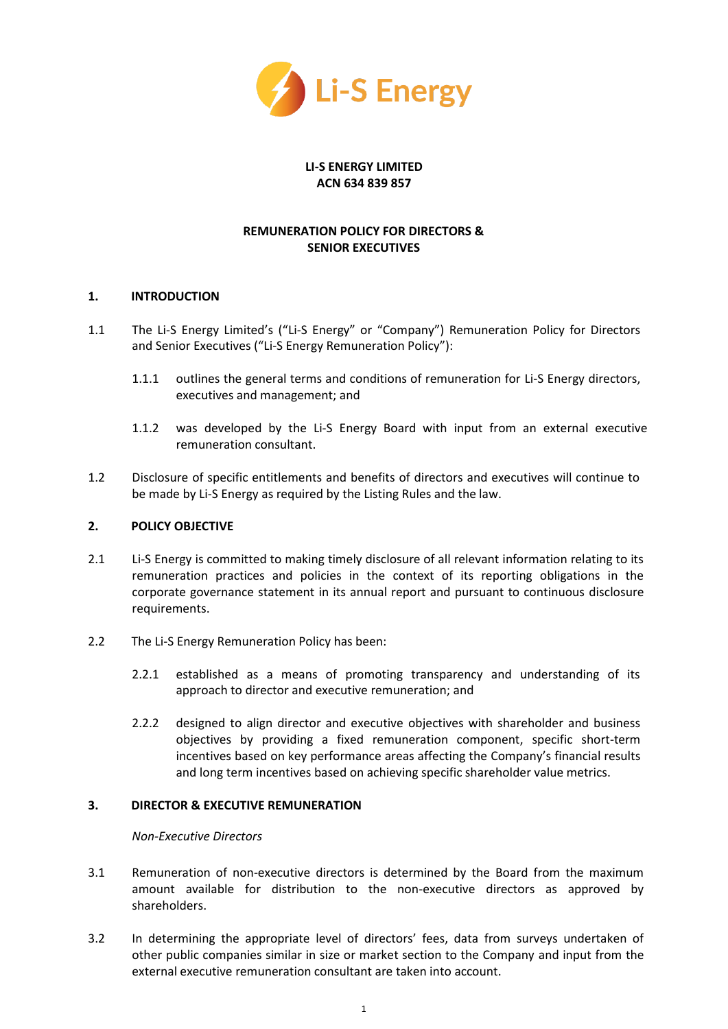

## **LI-S ENERGY LIMITED ACN 634 839 857**

# **REMUNERATION POLICY FOR DIRECTORS & SENIOR EXECUTIVES**

## **1. INTRODUCTION**

- 1.1 The Li-S Energy Limited's ("Li-S Energy" or "Company") Remuneration Policy for Directors and Senior Executives ("Li-S Energy Remuneration Policy"):
	- 1.1.1 outlines the general terms and conditions of remuneration for Li-S Energy directors, executives and management; and
	- 1.1.2 was developed by the Li-S Energy Board with input from an external executive remuneration consultant.
- 1.2 Disclosure of specific entitlements and benefits of directors and executives will continue to be made by Li-S Energy as required by the Listing Rules and the law.

#### **2. POLICY OBJECTIVE**

- 2.1 Li-S Energy is committed to making timely disclosure of all relevant information relating to its remuneration practices and policies in the context of its reporting obligations in the corporate governance statement in its annual report and pursuant to continuous disclosure requirements.
- 2.2 The Li-S Energy Remuneration Policy has been:
	- 2.2.1 established as a means of promoting transparency and understanding of its approach to director and executive remuneration; and
	- 2.2.2 designed to align director and executive objectives with shareholder and business objectives by providing a fixed remuneration component, specific short-term incentives based on key performance areas affecting the Company's financial results and long term incentives based on achieving specific shareholder value metrics.

#### **3. DIRECTOR & EXECUTIVE REMUNERATION**

#### *Non-Executive Directors*

- 3.1 Remuneration of non-executive directors is determined by the Board from the maximum amount available for distribution to the non-executive directors as approved by shareholders.
- 3.2 In determining the appropriate level of directors' fees, data from surveys undertaken of other public companies similar in size or market section to the Company and input from the external executive remuneration consultant are taken into account.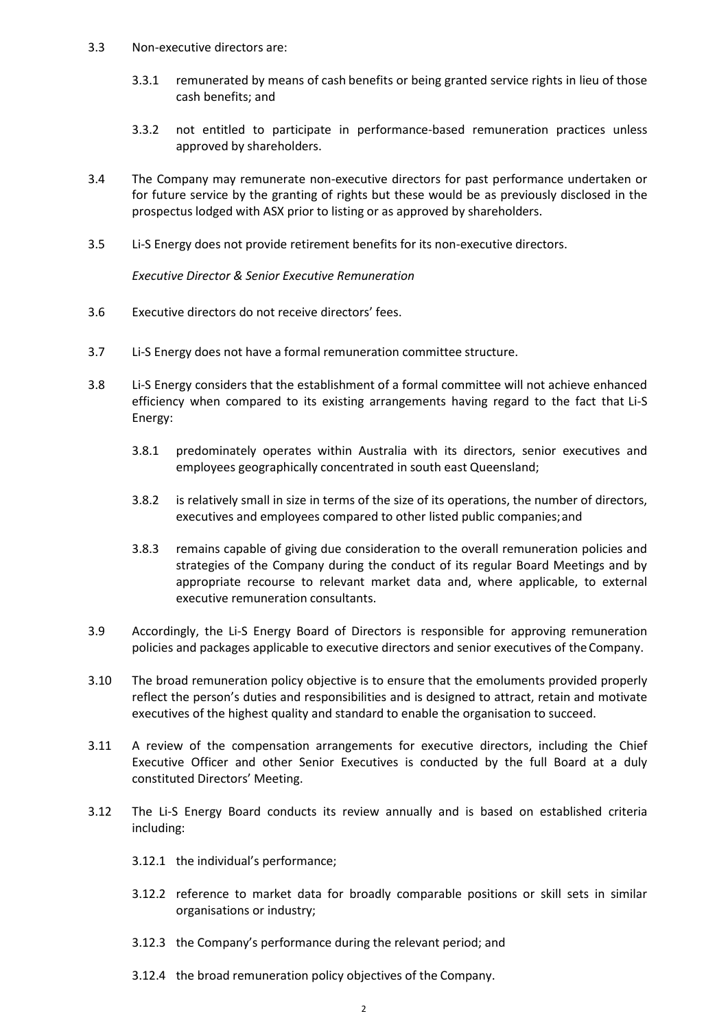- 3.3 Non-executive directors are:
	- 3.3.1 remunerated by means of cash benefits or being granted service rights in lieu of those cash benefits; and
	- 3.3.2 not entitled to participate in performance-based remuneration practices unless approved by shareholders.
- 3.4 The Company may remunerate non-executive directors for past performance undertaken or for future service by the granting of rights but these would be as previously disclosed in the prospectus lodged with ASX prior to listing or as approved by shareholders.
- 3.5 Li-S Energy does not provide retirement benefits for its non-executive directors.

*Executive Director & Senior Executive Remuneration*

- 3.6 Executive directors do not receive directors' fees.
- 3.7 Li-S Energy does not have a formal remuneration committee structure.
- 3.8 Li-S Energy considers that the establishment of a formal committee will not achieve enhanced efficiency when compared to its existing arrangements having regard to the fact that Li-S Energy:
	- 3.8.1 predominately operates within Australia with its directors, senior executives and employees geographically concentrated in south east Queensland;
	- 3.8.2 is relatively small in size in terms of the size of its operations, the number of directors, executives and employees compared to other listed public companies;and
	- 3.8.3 remains capable of giving due consideration to the overall remuneration policies and strategies of the Company during the conduct of its regular Board Meetings and by appropriate recourse to relevant market data and, where applicable, to external executive remuneration consultants.
- 3.9 Accordingly, the Li-S Energy Board of Directors is responsible for approving remuneration policies and packages applicable to executive directors and senior executives of theCompany.
- 3.10 The broad remuneration policy objective is to ensure that the emoluments provided properly reflect the person's duties and responsibilities and is designed to attract, retain and motivate executives of the highest quality and standard to enable the organisation to succeed.
- 3.11 A review of the compensation arrangements for executive directors, including the Chief Executive Officer and other Senior Executives is conducted by the full Board at a duly constituted Directors' Meeting.
- 3.12 The Li-S Energy Board conducts its review annually and is based on established criteria including:
	- 3.12.1 the individual's performance;
	- 3.12.2 reference to market data for broadly comparable positions or skill sets in similar organisations or industry;
	- 3.12.3 the Company's performance during the relevant period; and
	- 3.12.4 the broad remuneration policy objectives of the Company.